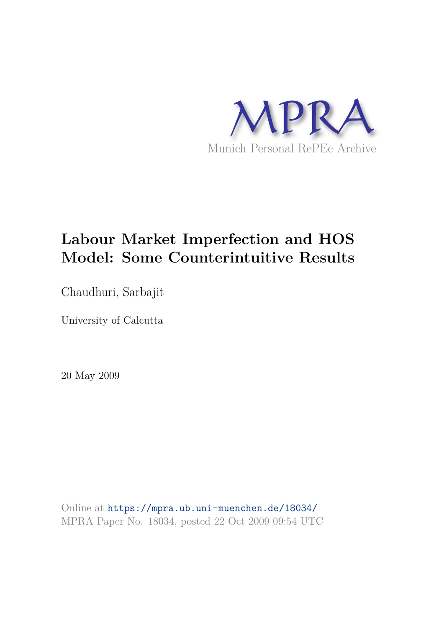

# **Labour Market Imperfection and HOS Model: Some Counterintuitive Results**

Chaudhuri, Sarbajit

University of Calcutta

20 May 2009

Online at https://mpra.ub.uni-muenchen.de/18034/ MPRA Paper No. 18034, posted 22 Oct 2009 09:54 UTC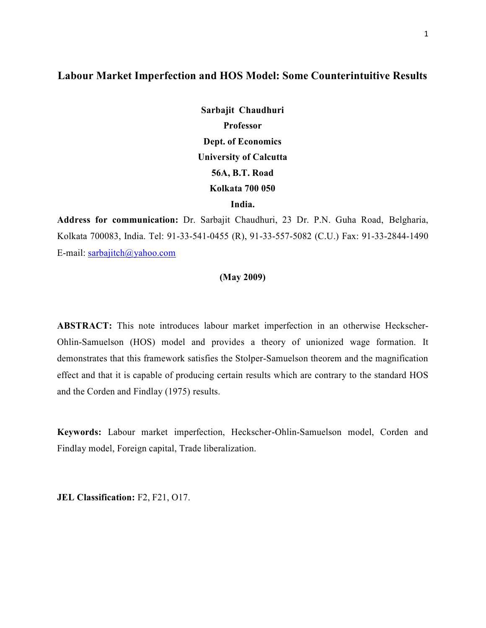# **Labour Market Imperfection and HOS Model: Some Counterintuitive Results**

**Sarbajit Chaudhuri Professor Dept. of Economics University of Calcutta 56A, B.T. Road Kolkata 700 050 India.** 

**Address for communication:** Dr. Sarbajit Chaudhuri, 23 Dr. P.N. Guha Road, Belgharia, Kolkata 700083, India. Tel: 91-33-541-0455 (R), 91-33-557-5082 (C.U.) Fax: 91-33-2844-1490 E-mail: sarbajitch@yahoo.com

#### **(May 2009)**

**ABSTRACT:** This note introduces labour market imperfection in an otherwise Heckscher-Ohlin-Samuelson (HOS) model and provides a theory of unionized wage formation. It demonstrates that this framework satisfies the Stolper-Samuelson theorem and the magnification effect and that it is capable of producing certain results which are contrary to the standard HOS and the Corden and Findlay (1975) results.

**Keywords:** Labour market imperfection, Heckscher-Ohlin-Samuelson model, Corden and Findlay model, Foreign capital, Trade liberalization.

**JEL Classification:** F2, F21, O17.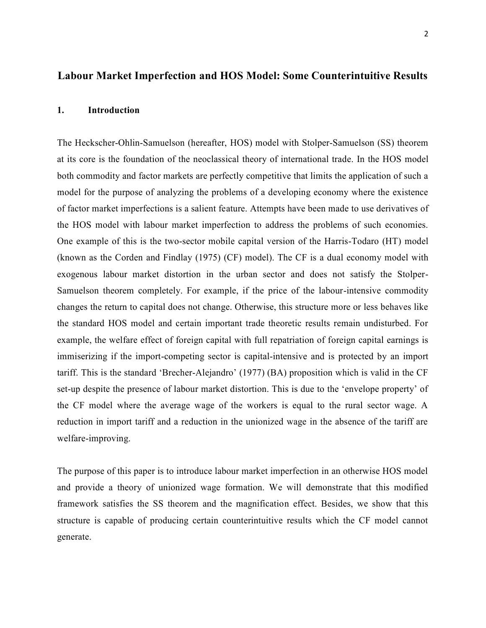## **Labour Market Imperfection and HOS Model: Some Counterintuitive Results**

#### **1. Introduction**

The Heckscher-Ohlin-Samuelson (hereafter, HOS) model with Stolper-Samuelson (SS) theorem at its core is the foundation of the neoclassical theory of international trade. In the HOS model both commodity and factor markets are perfectly competitive that limits the application of such a model for the purpose of analyzing the problems of a developing economy where the existence of factor market imperfections is a salient feature. Attempts have been made to use derivatives of the HOS model with labour market imperfection to address the problems of such economies. One example of this is the two-sector mobile capital version of the Harris-Todaro (HT) model (known as the Corden and Findlay (1975) (CF) model). The CF is a dual economy model with exogenous labour market distortion in the urban sector and does not satisfy the Stolper-Samuelson theorem completely. For example, if the price of the labour-intensive commodity changes the return to capital does not change. Otherwise, this structure more or less behaves like the standard HOS model and certain important trade theoretic results remain undisturbed. For example, the welfare effect of foreign capital with full repatriation of foreign capital earnings is immiserizing if the import-competing sector is capital-intensive and is protected by an import tariff. This is the standard 'Brecher-Alejandro' (1977) (BA) proposition which is valid in the CF set-up despite the presence of labour market distortion. This is due to the 'envelope property' of the CF model where the average wage of the workers is equal to the rural sector wage. A reduction in import tariff and a reduction in the unionized wage in the absence of the tariff are welfare-improving.

The purpose of this paper is to introduce labour market imperfection in an otherwise HOS model and provide a theory of unionized wage formation. We will demonstrate that this modified framework satisfies the SS theorem and the magnification effect. Besides, we show that this structure is capable of producing certain counterintuitive results which the CF model cannot generate.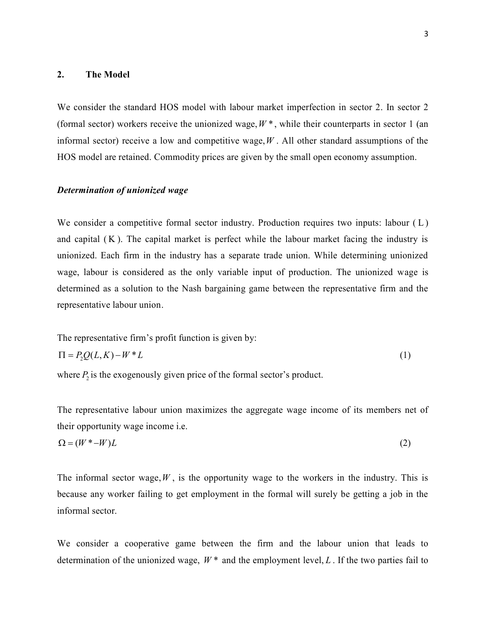#### **2. The Model**

We consider the standard HOS model with labour market imperfection in sector 2. In sector 2 (formal sector) workers receive the unionized wage,  $W^*$ , while their counterparts in sector 1 (an informal sector) receive a low and competitive wage,*W* . All other standard assumptions of the HOS model are retained. Commodity prices are given by the small open economy assumption.

#### *Determination of unionized wage*

We consider a competitive formal sector industry. Production requires two inputs: labour (L) and capital  $(K)$ . The capital market is perfect while the labour market facing the industry is unionized. Each firm in the industry has a separate trade union. While determining unionized wage, labour is considered as the only variable input of production. The unionized wage is determined as a solution to the Nash bargaining game between the representative firm and the representative labour union.

The representative firm's profit function is given by:  
\n
$$
\Pi = P_2 Q(L, K) - W^* L
$$
\n(1)

where  $P_2$  is the exogenously given price of the formal sector's product.

The representative labour union maximizes the aggregate wage income of its members net of their opportunity wage income i.e.

$$
\Omega = (W^* - W)L \tag{2}
$$

The informal sector wage,  $W$ , is the opportunity wage to the workers in the industry. This is because any worker failing to get employment in the formal will surely be getting a job in the informal sector.

We consider a cooperative game between the firm and the labour union that leads to determination of the unionized wage,  $W^*$  and the employment level,  $L$ . If the two parties fail to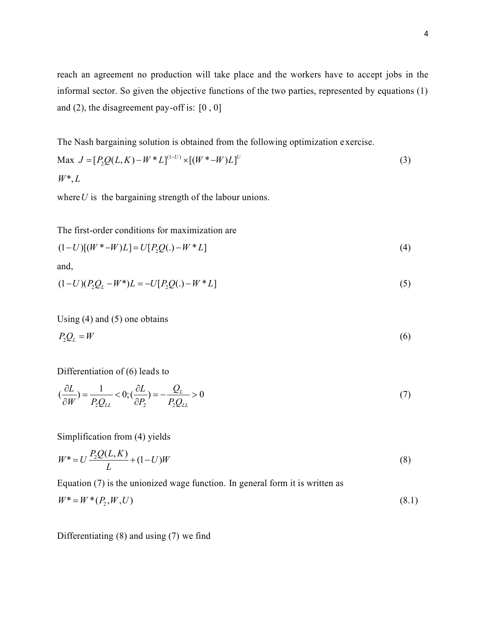reach an agreement no production will take place and the workers have to accept jobs in the informal sector. So given the objective functions of the two parties, represented by equations (1) and (2), the disagreement pay-off is:  $[0, 0]$ 

The Nash bargaining solution is obtained from the following optimization e xercise.

$$
\text{Max } J = [P_2 Q(L, K) - W^* L]^{(1-U)} \times [(W^* - W)L]^U
$$
\n
$$
W^*, L
$$
\n(3)

where  $U$  is the bargaining strength of the labour unions.

The first-order conditions for maximization are

$$
(1-U)[(W^* - W)L] = U[P_2Q(.) - W^*L]
$$
\n(4)

and,

$$
(1-U)(P_2Q_L - W^*)L = -U[P_2Q(.) - W^*L]
$$
\n(5)

Using (4) and (5) one obtains

$$
P_2 Q_L = W \tag{6}
$$

Differentiation of (6) leads to

$$
\left(\frac{\partial L}{\partial W}\right) = \frac{1}{P_2 Q_{LL}} < 0; \left(\frac{\partial L}{\partial P_2}\right) = -\frac{Q_L}{P_2 Q_{LL}} > 0\tag{7}
$$

Simplification from (4) yields

$$
W^* = U \frac{P_2 Q(L, K)}{L} + (1 - U)W
$$
\n(8)

Equation (7) is the unionized wage function. In general form it is written as

$$
W^* = W^* (P_2, W, U) \tag{8.1}
$$

Differentiating (8) and using (7) we find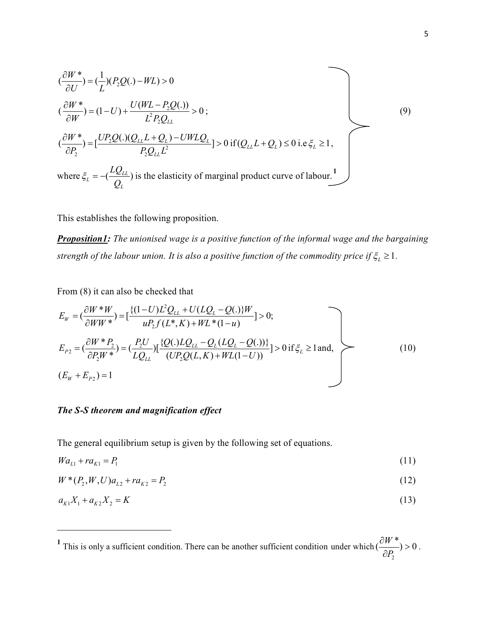$$
(\frac{\partial W^*}{\partial U}) = (\frac{1}{L})(P_2Q(.) - WL) > 0
$$
  
\n
$$
(\frac{\partial W^*}{\partial W}) = (1 - U) + \frac{U(WL - P_2Q(.))}{L^2 P_2 Q_{LL}} > 0;
$$
  
\n
$$
(\frac{\partial W^*}{\partial P_2}) = [\frac{UP_2Q(.)(Q_{LL}L + Q_L) - UWLQ_L}{P_2 Q_{LL}L^2}] > 0 \text{ if } (Q_{LL}L + Q_L) \le 0 \text{ i.e } \xi_L \ge 1,
$$
  
\nwhere  $\xi_L = -(\frac{LQ_{LL}}{Q_L})$  is the elasticity of marginal product curve of labour.<sup>1</sup>

This establishes the following proposition.

*Proposition1: The unionised wage is a positive function of the informal wage and the bargaining strength of the labour union. It is also a positive function of the commodity price if*  $\xi_L \geq 1$ *.* 

From (8) it can also be checked that

$$
E_W = \left(\frac{\partial W^* W}{\partial WW^*}\right) = \left[\frac{\{(1-U)L^2 Q_{LL} + U(LQ_L - Q(.))W}{uP_2 f(L^* , K) + WL^* (1 - u)}\right] > 0;
$$
  
\n
$$
E_{P_2} = \left(\frac{\partial W^* P_2}{\partial P_2 W^*}\right) = \left(\frac{P_2 U}{LQ_{LL}}\right) \left[\frac{\{Q(.)LQ_{LL} - Q_L(LQ_L - Q(.))\}}{(UP_2 Q(L, K) + WL(1 - U))}\right] > 0 \text{ if } \xi_L \ge 1 \text{ and,}
$$
  
\n
$$
(E_W + E_{P_2}) = 1
$$
 (10)

### *The S-S theorem and magnification effect*

 $\overline{\phantom{0}}$ 

The general equilibrium setup is given by the following set of equations.

$$
Wa_{L1} + ra_{K1} = P_1 \tag{11}
$$

$$
W^*(P_2, W, U)a_{L2} + ra_{K2} = P_2
$$
\n(12)

$$
a_{K1}X_1 + a_{K2}X_2 = K \tag{13}
$$

<sup>&</sup>lt;sup>1</sup> This is only a sufficient condition. There can be another sufficient condition under which 2  $\left(\frac{\partial W^*}{\partial P}\right) > 0$ *P*  $\frac{\partial W^*}{\partial D}$  >  $\frac{\partial P_2}{\partial P_2} > 0$ .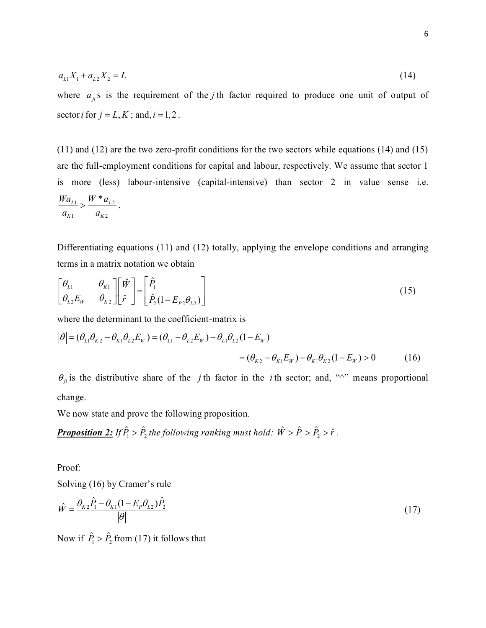$$
a_{L1}X_1 + a_{L2}X_2 = L \tag{14}
$$

where  $a_{ji}$ s is the requirement of the *j* th factor required to produce one unit of output of sector *i* for  $j = L, K$ ; and,  $i = 1, 2$ .

(11) and (12) are the two zero-profit conditions for the two sectors while equations (14) and (15) are the full-employment conditions for capital and labour, respectively. We assume that sector 1 is more (less) labour-intensive (capital-intensive) than sector 2 in value sense i.e.  $\frac{1}{2}$   $\sim$   $\frac{U}{2}$ 1  $u_{K2}$  $L_1 \searrow W^* a_L$  $K1$   $u_K$  $Wa_{L1}$ ,  $W^*a$  $a_{K1}$  *a*  $> \frac{H^2}{2L^2}$ .

Differentiating equations (11) and (12) totally, applying the envelope conditions and arranging terms in a matrix notation we obtain

$$
\begin{bmatrix} \theta_{L1} & \theta_{K1} \\ \theta_{L2} E_W & \theta_{K2} \end{bmatrix} \begin{bmatrix} \hat{W} \\ \hat{r} \end{bmatrix} = \begin{bmatrix} \hat{P}_1 \\ \hat{P}_2 (1 - E_{P2} \theta_{L2}) \end{bmatrix}
$$
\n(15)

where the determinant to the coefficient-matrix is

$$
|\theta| = (\theta_{L1}\theta_{K2} - \theta_{K1}\theta_{L2}E_W) = (\theta_{L1} - \theta_{L2}E_W) - \theta_{L1}\theta_{L2}(1 - E_W)
$$
  
= (\theta\_{K2} - \theta\_{K1}E\_W) - \theta\_{K1}\theta\_{K2}(1 - E\_W) > 0 (16)

 $\theta_{ji}$  is the distributive share of the *j* th factor in the *i* th sector; and, " $\wedge$ " means proportional change.

We now state and prove the following proposition.

**Proposition 2:** If  $\hat{P}_1 > \hat{P}_2$  the following ranking must hold:  $\hat{W} > \hat{P}_1 > \hat{P}_2 > \hat{r}$ .

Proof:

Solving (16) by Cramer's rule

$$
\hat{W} = \frac{\theta_{K2}\hat{P}_1 - \theta_{K1}(1 - E_P \theta_{L2})\hat{P}_2}{|\theta|}
$$
\n(17)

Now if  $\hat{P}_1 > \hat{P}_2$  from (17) it follows that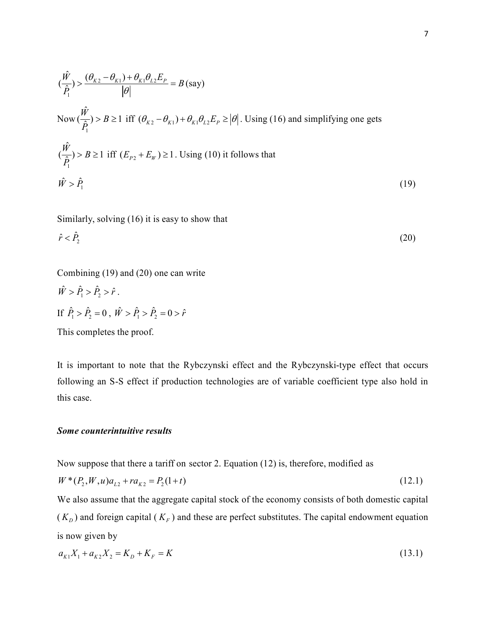$$
(\frac{\hat{W}}{\hat{P}_1}) > \frac{(\theta_{K2} - \theta_{K1}) + \theta_{K1}\theta_{L2}E_p}{|\theta|} = B \text{ (say)}
$$
  
\nNow  $(\frac{\hat{W}}{\hat{P}_1}) > B \ge 1$  iff  $(\theta_{K2} - \theta_{K1}) + \theta_{K1}\theta_{L2}E_p \ge |\theta|$ . Using (16) and simplifying one gets  
\n $(\frac{\hat{W}}{\hat{P}_1}) > B \ge 1$  iff  $(E_{P2} + E_w) \ge 1$ . Using (10) it follows that  
\n $\hat{W} > \hat{P}_1$  (19)

Similarly, solving (16) it is easy to show that

$$
\hat{r} < \hat{P}_2 \tag{20}
$$

Combining (19) and (20) one can write

$$
\hat{W} > \hat{P}_1 > \hat{P}_2 > \hat{r}.
$$
  
If  $\hat{P}_1 > \hat{P}_2 = 0$ ,  $\hat{W} > \hat{P}_1 > \hat{P}_2 = 0 > \hat{r}$ 

This completes the proof.

It is important to note that the Rybczynski effect and the Rybczynski-type effect that occurs following an S-S effect if production technologies are of variable coefficient type also hold in this case.

#### *Some counterintuitive results*

Now suppose that there a tariff on sector 2. Equation (12) is, therefore, modified as

$$
W^*(P_2, W, u)a_{L2} + ra_{K2} = P_2(1+t)
$$
\n(12.1)

We also assume that the aggregate capital stock of the economy consists of both domestic capital  $(K_D)$  and foreign capital  $(K_F)$  and these are perfect substitutes. The capital endowment equation is now given by

$$
a_{K1}X_1 + a_{K2}X_2 = K_D + K_F = K \tag{13.1}
$$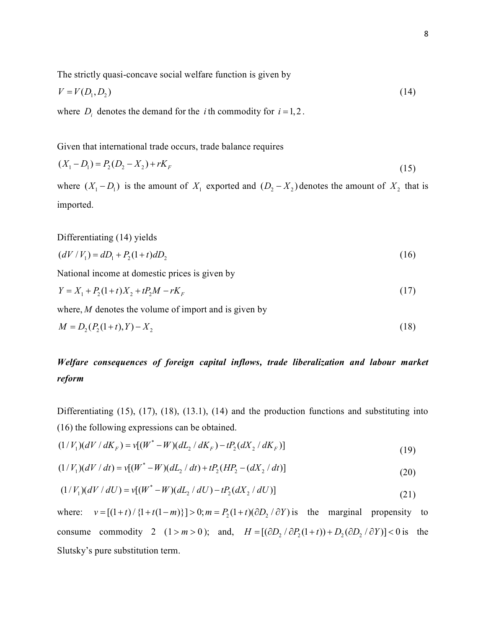The strictly quasi-concave social welfare function is given by

$$
V = V(D_1, D_2) \tag{14}
$$

where  $D_i$  denotes the demand for the *i* th commodity for  $i = 1, 2$ .

Given that international trade occurs, trade balance requires

$$
(X_1 - D_1) = P_2(D_2 - X_2) + rK_F
$$
\n(15)

where  $(X_1 - D_1)$  is the amount of  $X_1$  exported and  $(D_2 - X_2)$  denotes the amount of  $X_2$  that is imported.

Differentiating (14) yields

$$
(dV/V_1) = dD_1 + P_2(1+t) dD_2 \tag{16}
$$

National income at domestic prices is given by

$$
Y = X_1 + P_2(1+t)X_2 + tP_2M - rK_F
$$
\n(17)

where, *M* denotes the volume of import and is given by

$$
M = D_2(P_2(1+t), Y) - X_2 \tag{18}
$$

# *Welfare consequences of foreign capital inflows, trade liberalization and labour market reform*

Differentiating (15), (17), (18), (13.1), (14) and the production functions and substituting into (16) the following expressions can be obtained.

$$
(1/V_1)(dV/dK_F) = v[(W^* - W)(dL_2/dK_F) - tP_2(dX_2/dK_F)]
$$
\n(19)

$$
(1/V_1)(dV/dt) = v[(W^* - W)(dL_2/dt) + tP_2(HP_2 - (dX_2/dt))]
$$
\n(20)

$$
(1/V_1)(dV/dU) = v[(W^* - W)(dL_2/dU) - tP_2(dX_2/dU)]
$$
\n(21)

where:  $v = [(1 + t) / {1 + t(1 - m)}] > 0; m = P_2(1 + t)(\partial D_2 / \partial Y)$  is the marginal propensity to consume commodity 2  $(1 > m > 0)$ ; and,  $H = [(\partial D, \partial P_2(1+t)) + D, (\partial D, \partial Y)] < 0$  is the Slutsky's pure substitution term.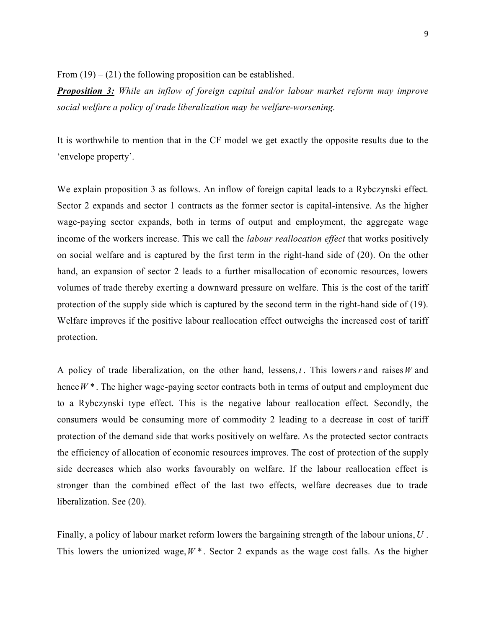From  $(19) - (21)$  the following proposition can be established.

*Proposition 3: While an inflow of foreign capital and/or labour market reform may improve social welfare a policy of trade liberalization may be welfare-worsening.* 

It is worthwhile to mention that in the CF model we get exactly the opposite results due to the 'envelope property'.

We explain proposition 3 as follows. An inflow of foreign capital leads to a Rybczynski effect. Sector 2 expands and sector 1 contracts as the former sector is capital-intensive. As the higher wage-paying sector expands, both in terms of output and employment, the aggregate wage income of the workers increase. This we call the *labour reallocation effect* that works positively on social welfare and is captured by the first term in the right-hand side of (20). On the other hand, an expansion of sector 2 leads to a further misallocation of economic resources, lowers volumes of trade thereby exerting a downward pressure on welfare. This is the cost of the tariff protection of the supply side which is captured by the second term in the right-hand side of (19). Welfare improves if the positive labour reallocation effect outweighs the increased cost of tariff protection.

A policy of trade liberalization, on the other hand, lessens, *t* . This lowers*r* and raises*W* and hence *W* \*. The higher wage-paying sector contracts both in terms of output and employment due to a Rybczynski type effect. This is the negative labour reallocation effect. Secondly, the consumers would be consuming more of commodity 2 leading to a decrease in cost of tariff protection of the demand side that works positively on welfare. As the protected sector contracts the efficiency of allocation of economic resources improves. The cost of protection of the supply side decreases which also works favourably on welfare. If the labour reallocation effect is stronger than the combined effect of the last two effects, welfare decreases due to trade liberalization. See (20).

Finally, a policy of labour market reform lowers the bargaining strength of the labour unions,*U* . This lowers the unionized wage,  $W^*$ . Sector 2 expands as the wage cost falls. As the higher